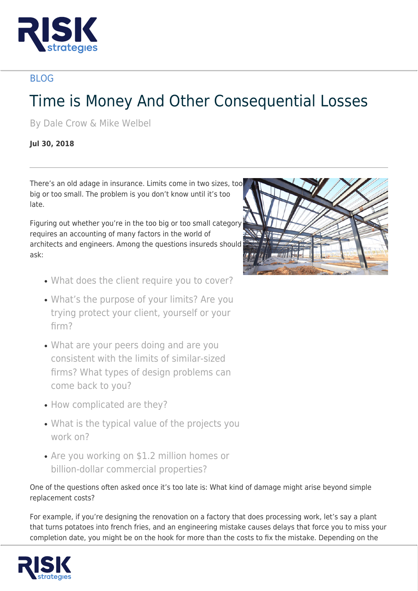

## BLOG

## Time is Money And Other Consequential Losses

By Dale Crow & Mike Welbel

## **Jul 30, 2018**

There's an old adage in insurance. Limits come in two sizes, too big or too small. The problem is you don't know until it's too late.

Figuring out whether you're in the too big or too small category requires an accounting of many factors in the world of architects and engineers. Among the questions insureds should ask:

- What does the client require you to cover?
- What's the purpose of your limits? Are you trying protect your client, yourself or your firm?
- What are your peers doing and are you consistent with the limits of similar-sized firms? What types of design problems can come back to you?
- How complicated are they?
- What is the typical value of the projects you work on?
- Are you working on \$1.2 million homes or billion-dollar commercial properties?

One of the questions often asked once it's too late is: What kind of damage might arise beyond simple replacement costs?

For example, if you're designing the renovation on a factory that does processing work, let's say a plant that turns potatoes into french fries, and an engineering mistake causes delays that force you to miss your completion date, you might be on the hook for more than the costs to fix the mistake. Depending on the